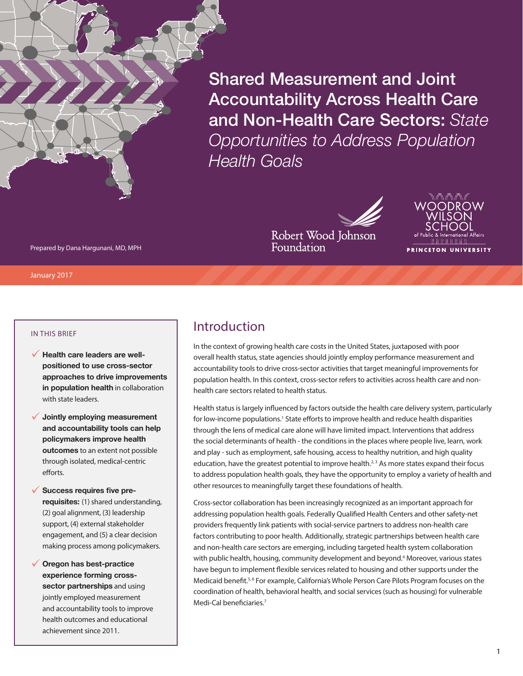Shared Measurement and Joint Accountability Across Health Care and Non-Health Care Sectors: *State Opportunities to Address Population Health Goals*

PRINCETON UNIVERSITY

Prepared by Dana Hargunani, MD, MPH

January 2017

#### IN THIS BRIEF

- **√ Health care leaders are wellpositioned to use cross-sector approaches to drive improvements in population health** in collaboration with state leaders.
- 9 **Jointly employing measurement and accountability tools can help policymakers improve health outcomes** to an extent not possible through isolated, medical-centric efforts.
- Success requires five pre**requisites:** (1) shared understanding, (2) goal alignment, (3) leadership support, (4) external stakeholder engagement, and (5) a clear decision making process among policymakers.
- ◆ Oregon has best-practice **experience forming crosssector partnerships** and using jointly employed measurement and accountability tools to improve health outcomes and educational achievement since 2011.

## Introduction

In the context of growing health care costs in the United States, juxtaposed with poor overall health status, state agencies should jointly employ performance measurement and accountability tools to drive cross-sector activities that target meaningful improvements for population health. In this context, cross-sector refers to activities across health care and nonhealth care sectors related to health status.

Robert Wood Johnson

Foundation

Health status is largely influenced by factors outside the health care delivery system, particularly for low-income populations.<sup>1</sup> State efforts to improve health and reduce health disparities through the lens of medical care alone will have limited impact. Interventions that address the social determinants of health - the conditions in the places where people live, learn, work and play - such as employment, safe housing, access to healthy nutrition, and high quality education, have the greatest potential to improve health.<sup>2,3</sup> As more states expand their focus to address population health goals, they have the opportunity to employ a variety of health and other resources to meaningfully target these foundations of health.

Cross-sector collaboration has been increasingly recognized as an important approach for addressing population health goals. Federally Qualified Health Centers and other safety-net providers frequently link patients with social-service partners to address non-health care factors contributing to poor health. Additionally, strategic partnerships between health care and non-health care sectors are emerging, including targeted health system collaboration with public health, housing, community development and beyond.<sup>4</sup> Moreover, various states have begun to implement flexible services related to housing and other supports under the Medicaid benefit.<sup>5,6</sup> For example, California's Whole Person Care Pilots Program focuses on the coordination of health, behavioral health, and social services (such as housing) for vulnerable Medi-Cal beneficiaries.7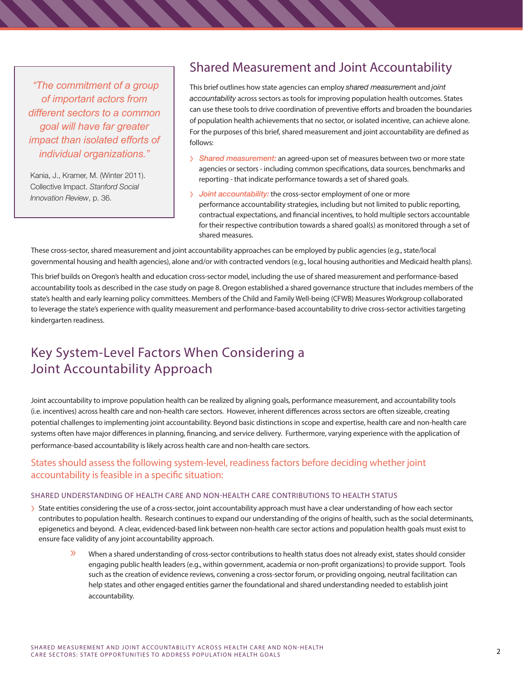*"The commitment of a group of important actors from different sectors to a common goal will have far greater impact than isolated efforts of individual organizations."*

Kania, J., Kramer, M. (Winter 2011). Collective Impact. *Stanford Social Innovation Review*, p. 36.

# Shared Measurement and Joint Accountability

This brief outlines how state agencies can employ *shared measuremen*t and *joint accountability* across sectors as tools for improving population health outcomes. States can use these tools to drive coordination of preventive efforts and broaden the boundaries of population health achievements that no sector, or isolated incentive, can achieve alone. For the purposes of this brief, shared measurement and joint accountability are defined as follows:

- › *Shared measurement:* an agreed-upon set of measures between two or more state agencies or sectors - including common specifications, data sources, benchmarks and reporting - that indicate performance towards a set of shared goals.
- › *Joint accountability:* the cross-sector employment of one or more performance accountability strategies, including but not limited to public reporting, contractual expectations, and financial incentives, to hold multiple sectors accountable for their respective contribution towards a shared goal(s) as monitored through a set of shared measures.

These cross-sector, shared measurement and joint accountability approaches can be employed by public agencies (e.g., state/local governmental housing and health agencies), alone and/or with contracted vendors (e.g., local housing authorities and Medicaid health plans).

This brief builds on Oregon's health and education cross-sector model, including the use of shared measurement and performance-based accountability tools as described in the case study on page 8. Oregon established a shared governance structure that includes members of the state's health and early learning policy committees. Members of the Child and Family Well-being (CFWB) Measures Workgroup collaborated to leverage the state's experience with quality measurement and performance-based accountability to drive cross-sector activities targeting kindergarten readiness.

# Key System-Level Factors When Considering a Joint Accountability Approach

Joint accountability to improve population health can be realized by aligning goals, performance measurement, and accountability tools (i.e. incentives) across health care and non-health care sectors. However, inherent differences across sectors are often sizeable, creating potential challenges to implementing joint accountability. Beyond basic distinctions in scope and expertise, health care and non-health care systems often have major differences in planning, financing, and service delivery. Furthermore, varying experience with the application of performance-based accountability is likely across health care and non-health care sectors.

### States should assess the following system-level, readiness factors before deciding whether joint accountability is feasible in a specific situation:

#### SHARED UNDERSTANDING OF HEALTH CARE AND NON-HEALTH CARE CONTRIBUTIONS TO HEALTH STATUS

- > State entities considering the use of a cross-sector, joint accountability approach must have a clear understanding of how each sector contributes to population health. Research continues to expand our understanding of the origins of health, such as the social determinants, epigenetics and beyond. A clear, evidenced-based link between non-health care sector actions and population health goals must exist to ensure face validity of any joint accountability approach.
	- » When a shared understanding of cross-sector contributions to health status does not already exist, states should consider engaging public health leaders (e.g., within government, academia or non-profit organizations) to provide support. Tools such as the creation of evidence reviews, convening a cross-sector forum, or providing ongoing, neutral facilitation can help states and other engaged entities garner the foundational and shared understanding needed to establish joint accountability.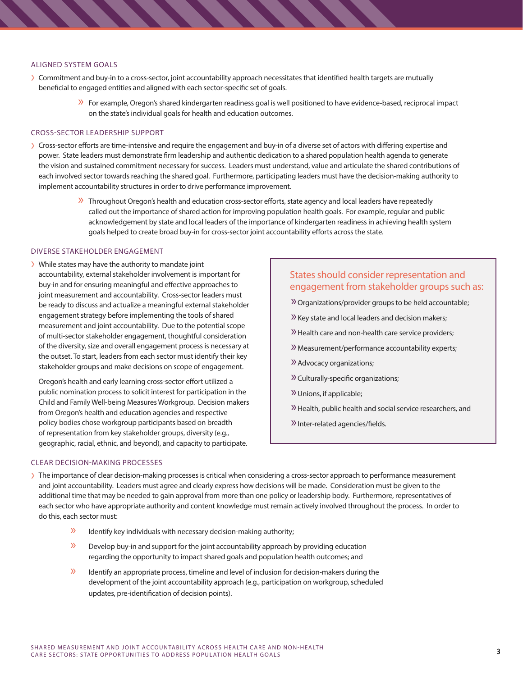#### ALIGNED SYSTEM GOALS

- › Commitment and buy-in to a cross-sector, joint accountability approach necessitates that identified health targets are mutually beneficial to engaged entities and aligned with each sector-specific set of goals.
	- » For example, Oregon's shared kindergarten readiness goal is well positioned to have evidence-based, reciprocal impact on the state's individual goals for health and education outcomes.

#### CROSS-SECTOR LEADERSHIP SUPPORT

- › Cross-sector efforts are time-intensive and require the engagement and buy-in of a diverse set of actors with differing expertise and power. State leaders must demonstrate firm leadership and authentic dedication to a shared population health agenda to generate the vision and sustained commitment necessary for success. Leaders must understand, value and articulate the shared contributions of each involved sector towards reaching the shared goal. Furthermore, participating leaders must have the decision-making authority to implement accountability structures in order to drive performance improvement.
	- » Throughout Oregon's health and education cross-sector efforts, state agency and local leaders have repeatedly called out the importance of shared action for improving population health goals. For example, regular and public acknowledgement by state and local leaders of the importance of kindergarten readiness in achieving health system goals helped to create broad buy-in for cross-sector joint accountability efforts across the state.

### DIVERSE STAKEHOLDER ENGAGEMENT

› While states may have the authority to mandate joint accountability, external stakeholder involvement is important for buy-in and for ensuring meaningful and effective approaches to joint measurement and accountability. Cross-sector leaders must be ready to discuss and actualize a meaningful external stakeholder engagement strategy before implementing the tools of shared measurement and joint accountability. Due to the potential scope of multi-sector stakeholder engagement, thoughtful consideration of the diversity, size and overall engagement process is necessary at the outset. To start, leaders from each sector must identify their key stakeholder groups and make decisions on scope of engagement.

Oregon's health and early learning cross-sector effort utilized a public nomination process to solicit interest for participation in the Child and Family Well-being Measures Workgroup. Decision makers from Oregon's health and education agencies and respective policy bodies chose workgroup participants based on breadth of representation from key stakeholder groups, diversity (e.g., geographic, racial, ethnic, and beyond), and capacity to participate.

### States should consider representation and engagement from stakeholder groups such as:

- »Organizations/provider groups to be held accountable;
- »Key state and local leaders and decision makers;
- »Health care and non-health care service providers;
- »Measurement/performance accountability experts;
- »Advocacy organizations;
- »Culturally-specific organizations;
- »Unions, if applicable;
- »Health, public health and social service researchers, and
- »Inter-related agencies/fields.

#### CLEAR DECISION-MAKING PROCESSES

- > The importance of clear decision-making processes is critical when considering a cross-sector approach to performance measurement and joint accountability. Leaders must agree and clearly express how decisions will be made. Consideration must be given to the additional time that may be needed to gain approval from more than one policy or leadership body. Furthermore, representatives of each sector who have appropriate authority and content knowledge must remain actively involved throughout the process. In order to do this, each sector must:
	- $\lambda$  Identify key individuals with necessary decision-making authority;
	- » Develop buy-in and support for the joint accountability approach by providing education regarding the opportunity to impact shared goals and population health outcomes; and
	- » Identify an appropriate process, timeline and level of inclusion for decision-makers during the development of the joint accountability approach (e.g., participation on workgroup, scheduled updates, pre-identification of decision points).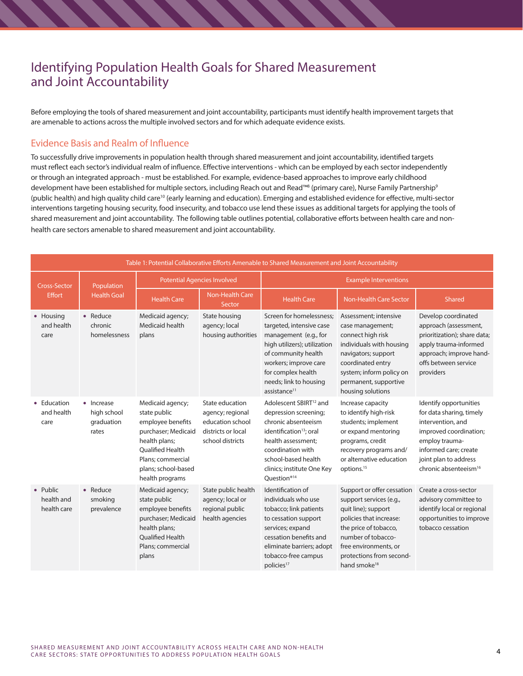# Identifying Population Health Goals for Shared Measurement and Joint Accountability

Before employing the tools of shared measurement and joint accountability, participants must identify health improvement targets that are amenable to actions across the multiple involved sectors and for which adequate evidence exists.

### Evidence Basis and Realm of Influence

To successfully drive improvements in population health through shared measurement and joint accountability, identified targets must reflect each sector's individual realm of influence. Effective interventions - which can be employed by each sector independently or through an integrated approach - must be established. For example, evidence-based approaches to improve early childhood development have been established for multiple sectors, including Reach out and Read™® (primary care), Nurse Family Partnership® (public health) and high quality child care<sup>10</sup> (early learning and education). Emerging and established evidence for effective, multi-sector interventions targeting housing security, food insecurity, and tobacco use lend these issues as additional targets for applying the tools of shared measurement and joint accountability. The following table outlines potential, collaborative efforts between health care and nonhealth care sectors amenable to shared measurement and joint accountability.

| Table 1: Potential Collaborative Efforts Amenable to Shared Measurement and Joint Accountability |                                                  |                                                                                                                                                                                  |                                                                                                   |                                                                                                                                                                                                                                           |                                                                                                                                                                                                                                         |                                                                                                                                                                                                            |  |
|--------------------------------------------------------------------------------------------------|--------------------------------------------------|----------------------------------------------------------------------------------------------------------------------------------------------------------------------------------|---------------------------------------------------------------------------------------------------|-------------------------------------------------------------------------------------------------------------------------------------------------------------------------------------------------------------------------------------------|-----------------------------------------------------------------------------------------------------------------------------------------------------------------------------------------------------------------------------------------|------------------------------------------------------------------------------------------------------------------------------------------------------------------------------------------------------------|--|
| <b>Cross-Sector</b><br><b>Effort</b>                                                             | Population<br><b>Health Goal</b>                 | <b>Potential Agencies Involved</b>                                                                                                                                               |                                                                                                   | <b>Example Interventions</b>                                                                                                                                                                                                              |                                                                                                                                                                                                                                         |                                                                                                                                                                                                            |  |
|                                                                                                  |                                                  | <b>Health Care</b>                                                                                                                                                               | Non-Health Care<br>Sector                                                                         | <b>Health Care</b>                                                                                                                                                                                                                        | <b>Non-Health Care Sector</b>                                                                                                                                                                                                           | Shared                                                                                                                                                                                                     |  |
| • Housing<br>and health<br>care                                                                  | $\bullet$ Reduce<br>chronic<br>homelessness      | Medicaid agency;<br>Medicaid health<br>plans                                                                                                                                     | State housing<br>agency; local<br>housing authorities                                             | Screen for homelessness:<br>targeted, intensive case<br>management (e.g., for<br>high utilizers); utilization<br>of community health<br>workers; improve care<br>for complex health<br>needs; link to housing<br>assistance <sup>11</sup> | Assessment; intensive<br>case management;<br>connect high risk<br>individuals with housing<br>navigators; support<br>coordinated entry<br>system; inform policy on<br>permanent, supportive<br>housing solutions                        | Develop coordinated<br>approach (assessment,<br>prioritization); share data;<br>apply trauma-informed<br>approach; improve hand-<br>offs between service<br>providers                                      |  |
| • Education<br>and health<br>care                                                                | • Increase<br>high school<br>graduation<br>rates | Medicaid agency;<br>state public<br>employee benefits<br>purchaser; Medicaid<br>health plans;<br>Qualified Health<br>Plans: commercial<br>plans; school-based<br>health programs | State education<br>agency; regional<br>education school<br>districts or local<br>school districts | Adolescent SBIRT <sup>12</sup> and<br>depression screening;<br>chronic absenteeism<br>identification <sup>13</sup> ; oral<br>health assessment;<br>coordination with<br>school-based health<br>clinics; institute One Key<br>Question®14  | Increase capacity<br>to identify high-risk<br>students; implement<br>or expand mentoring<br>programs, credit<br>recovery programs and/<br>or alternative education<br>options. <sup>15</sup>                                            | Identify opportunities<br>for data sharing, timely<br>intervention, and<br>improved coordination;<br>employ trauma-<br>informed care; create<br>joint plan to address<br>chronic absenteeism <sup>16</sup> |  |
| • Public<br>health and<br>health care                                                            | $\bullet$ Reduce<br>smoking<br>prevalence        | Medicaid agency;<br>state public<br>employee benefits<br>purchaser; Medicaid<br>health plans;<br><b>Oualified Health</b><br>Plans: commercial<br>plans                           | State public health<br>agency; local or<br>regional public<br>health agencies                     | Identification of<br>individuals who use<br>tobacco; link patients<br>to cessation support<br>services; expand<br>cessation benefits and<br>eliminate barriers; adopt<br>tobacco-free campus<br>policies <sup>17</sup>                    | Support or offer cessation<br>support services (e.g.,<br>quit line); support<br>policies that increase:<br>the price of tobacco,<br>number of tobacco-<br>free environments, or<br>protections from second-<br>hand smoke <sup>18</sup> | Create a cross-sector<br>advisory committee to<br>identify local or regional<br>opportunities to improve<br>tobacco cessation                                                                              |  |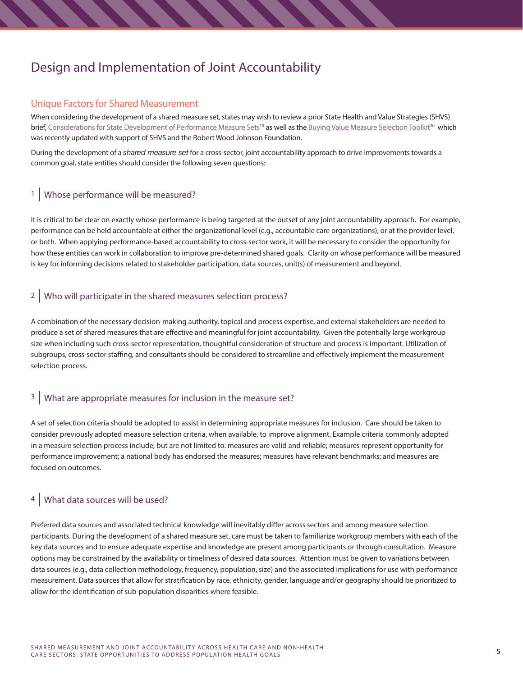# Design and Implementation of Joint Accountability

### Unique Factors for Shared Measurement

When considering the development of a shared measure set, states may wish to review a prior State Health and Value Strategies (SHVS) brief, [Considerations for State Development of Performance Measure Sets](http://www.rwjf.org/content/dam/farm/reports/issue_briefs/2014/rwjf415738)<sup>19</sup> as well as the Buying Value Measure Selection Toolkit<sup>20</sup> which was recently updated with support of SHVS and the Robert Wood Johnson Foundation.

During the development of a *shared measure set* for a cross-sector, joint accountability approach to drive improvements towards a common goal, state entities should consider the following seven questions:

## 1 | Whose performance will be measured?

It is critical to be clear on exactly whose performance is being targeted at the outset of any joint accountability approach. For example, performance can be held accountable at either the organizational level (e.g., accountable care organizations), or at the provider level, or both. When applying performance-based accountability to cross-sector work, it will be necessary to consider the opportunity for how these entities can work in collaboration to improve pre-determined shared goals. Clarity on whose performance will be measured is key for informing decisions related to stakeholder participation, data sources, unit(s) of measurement and beyond.

## 2 Who will participate in the shared measures selection process?

A combination of the necessary decision-making authority, topical and process expertise, and external stakeholders are needed to produce a set of shared measures that are effective and meaningful for joint accountability. Given the potentially large workgroup size when including such cross-sector representation, thoughtful consideration of structure and process is important. Utilization of subgroups, cross-sector staffing, and consultants should be considered to streamline and effectively implement the measurement selection process.

### <sup>3</sup> What are appropriate measures for inclusion in the measure set?

A set of selection criteria should be adopted to assist in determining appropriate measures for inclusion. Care should be taken to consider previously adopted measure selection criteria, when available, to improve alignment. Example criteria commonly adopted in a measure selection process include, but are not limited to: measures are valid and reliable; measures represent opportunity for performance improvement; a national body has endorsed the measures; measures have relevant benchmarks; and measures are focused on outcomes.

## 4 | What data sources will be used?

Preferred data sources and associated technical knowledge will inevitably differ across sectors and among measure selection participants. During the development of a shared measure set, care must be taken to familiarize workgroup members with each of the key data sources and to ensure adequate expertise and knowledge are present among participants or through consultation. Measure options may be constrained by the availability or timeliness of desired data sources. Attention must be given to variations between data sources (e.g., data collection methodology, frequency, population, size) and the associated implications for use with performance measurement. Data sources that allow for stratification by race, ethnicity, gender, language and/or geography should be prioritized to allow for the identification of sub-population disparities where feasible.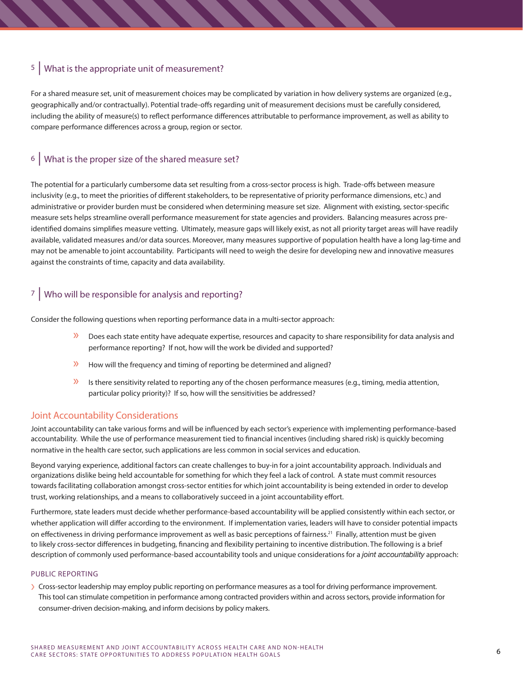## 5 | What is the appropriate unit of measurement?

For a shared measure set, unit of measurement choices may be complicated by variation in how delivery systems are organized (e.g., geographically and/or contractually). Potential trade-offs regarding unit of measurement decisions must be carefully considered, including the ability of measure(s) to reflect performance differences attributable to performance improvement, as well as ability to compare performance differences across a group, region or sector.

## 6 | What is the proper size of the shared measure set?

The potential for a particularly cumbersome data set resulting from a cross-sector process is high. Trade-offs between measure inclusivity (e.g., to meet the priorities of different stakeholders, to be representative of priority performance dimensions, etc.) and administrative or provider burden must be considered when determining measure set size. Alignment with existing, sector-specific measure sets helps streamline overall performance measurement for state agencies and providers. Balancing measures across preidentified domains simplifies measure vetting. Ultimately, measure gaps will likely exist, as not all priority target areas will have readily available, validated measures and/or data sources. Moreover, many measures supportive of population health have a long lag-time and may not be amenable to joint accountability. Participants will need to weigh the desire for developing new and innovative measures against the constraints of time, capacity and data availability.

## 7 | Who will be responsible for analysis and reporting?

Consider the following questions when reporting performance data in a multi-sector approach:

- » Does each state entity have adequate expertise, resources and capacity to share responsibility for data analysis and performance reporting? If not, how will the work be divided and supported?
- » How will the frequency and timing of reporting be determined and aligned?
- $\mathcal{V}$  Is there sensitivity related to reporting any of the chosen performance measures (e.g., timing, media attention, particular policy priority)? If so, how will the sensitivities be addressed?

### Joint Accountability Considerations

Joint accountability can take various forms and will be influenced by each sector's experience with implementing performance-based accountability. While the use of performance measurement tied to financial incentives (including shared risk) is quickly becoming normative in the health care sector, such applications are less common in social services and education.

Beyond varying experience, additional factors can create challenges to buy-in for a joint accountability approach. Individuals and organizations dislike being held accountable for something for which they feel a lack of control. A state must commit resources towards facilitating collaboration amongst cross-sector entities for which joint accountability is being extended in order to develop trust, working relationships, and a means to collaboratively succeed in a joint accountability effort.

Furthermore, state leaders must decide whether performance-based accountability will be applied consistently within each sector, or whether application will differ according to the environment. If implementation varies, leaders will have to consider potential impacts on effectiveness in driving performance improvement as well as basic perceptions of fairness.<sup>21</sup> Finally, attention must be given to likely cross-sector differences in budgeting, financing and flexibility pertaining to incentive distribution. The following is a brief description of commonly used performance-based accountability tools and unique considerations for a *joint accountability* approach:

#### PUBLIC REPORTING

› Cross-sector leadership may employ public reporting on performance measures as a tool for driving performance improvement. This tool can stimulate competition in performance among contracted providers within and across sectors, provide information for consumer-driven decision-making, and inform decisions by policy makers.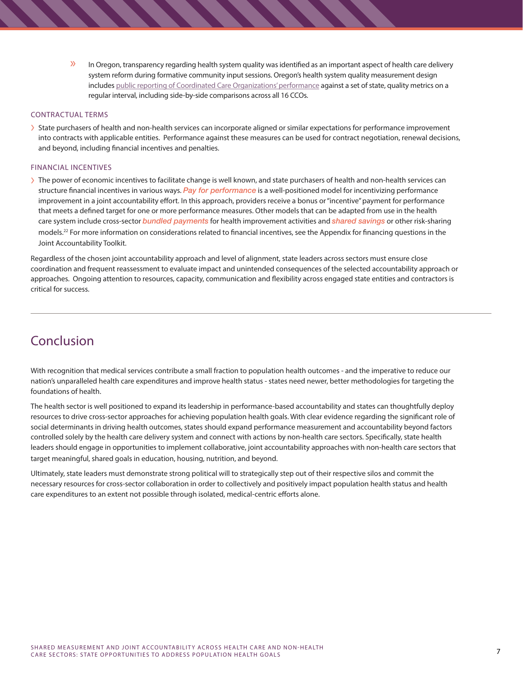» In Oregon, transparency regarding health system quality was identified as an important aspect of health care delivery system reform during formative community input sessions. Oregon's health system quality measurement design includes [public reporting of Coordinated Care Organizations' performance](http://www.oregon.gov/oha/Metrics/Pages/HST-Reports.aspx) against a set of state, quality metrics on a regular interval, including side-by-side comparisons across all 16 CCOs.

#### CONTRACTUAL TERMS

› State purchasers of health and non-health services can incorporate aligned or similar expectations for performance improvement into contracts with applicable entities. Performance against these measures can be used for contract negotiation, renewal decisions, and beyond, including financial incentives and penalties.

#### FINANCIAL INCENTIVES

› The power of economic incentives to facilitate change is well known, and state purchasers of health and non-health services can structure financial incentives in various ways. *Pay for performance* is a well-positioned model for incentivizing performance improvement in a joint accountability effort. In this approach, providers receive a bonus or "incentive" payment for performance that meets a defined target for one or more performance measures. Other models that can be adapted from use in the health care system include cross-sector *bundled payments* for health improvement activities and *shared savings* or other risk-sharing models.<sup>22</sup> For more information on considerations related to financial incentives, see the Appendix for financing questions in the Joint Accountability Toolkit.

Regardless of the chosen joint accountability approach and level of alignment, state leaders across sectors must ensure close coordination and frequent reassessment to evaluate impact and unintended consequences of the selected accountability approach or approaches. Ongoing attention to resources, capacity, communication and flexibility across engaged state entities and contractors is critical for success.

# Conclusion

With recognition that medical services contribute a small fraction to population health outcomes - and the imperative to reduce our nation's unparalleled health care expenditures and improve health status - states need newer, better methodologies for targeting the foundations of health.

The health sector is well positioned to expand its leadership in performance-based accountability and states can thoughtfully deploy resources to drive cross-sector approaches for achieving population health goals. With clear evidence regarding the significant role of social determinants in driving health outcomes, states should expand performance measurement and accountability beyond factors controlled solely by the health care delivery system and connect with actions by non-health care sectors. Specifically, state health leaders should engage in opportunities to implement collaborative, joint accountability approaches with non-health care sectors that target meaningful, shared goals in education, housing, nutrition, and beyond.

Ultimately, state leaders must demonstrate strong political will to strategically step out of their respective silos and commit the necessary resources for cross-sector collaboration in order to collectively and positively impact population health status and health care expenditures to an extent not possible through isolated, medical-centric efforts alone.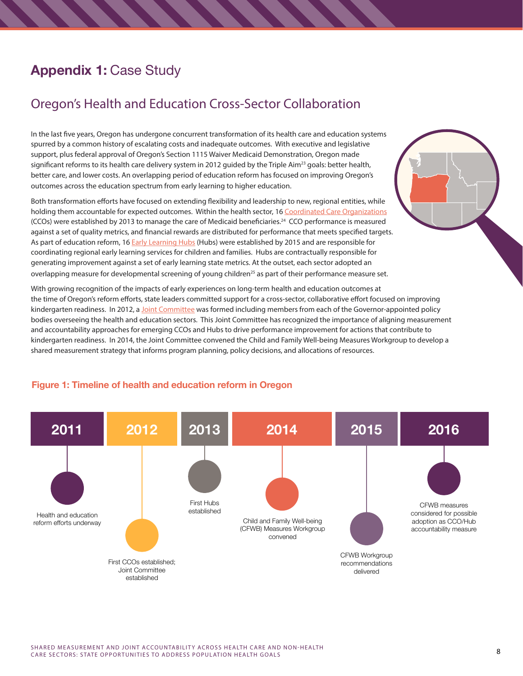# **Appendix 1:** Case Study

# Oregon's Health and Education Cross-Sector Collaboration

In the last five years, Oregon has undergone concurrent transformation of its health care and education systems spurred by a common history of escalating costs and inadequate outcomes. With executive and legislative support, plus federal approval of Oregon's Section 1115 Waiver Medicaid Demonstration, Oregon made significant reforms to its health care delivery system in 2012 guided by the Triple Aim<sup>23</sup> goals: better health, better care, and lower costs. An overlapping period of education reform has focused on improving Oregon's outcomes across the education spectrum from early learning to higher education.

Both transformation efforts have focused on extending flexibility and leadership to new, regional entities, while holding them accountable for expected outcomes. Within the health sector, 16 [Coordinated Care Organizations](http://www.oregon.gov/oha/OHPB/Pages/health-reform/certification/index.aspx) (CCOs) were established by 2013 to manage the care of Medicaid beneficiaries.24 CCO performance is measured against a set of quality metrics, and financial rewards are distributed for performance that meets specified targets. As part of education reform, 16 [Early Learning Hubs](https://oregonearlylearning.com/early-learning-hubs/) (Hubs) were established by 2015 and are responsible for coordinating regional early learning services for children and families. Hubs are contractually responsible for generating improvement against a set of early learning state metrics. At the outset, each sector adopted an overlapping measure for developmental screening of young children<sup>25</sup> as part of their performance measure set.

With growing recognition of the impacts of early experiences on long-term health and education outcomes at the time of Oregon's reform efforts, state leaders committed support for a cross-sector, collaborative effort focused on improving kindergarten readiness. In 2012, a [Joint Committee](http://www.oregon.gov/oha/Pages/elc-ohpb.aspx) was formed including members from each of the Governor-appointed policy bodies overseeing the health and education sectors. This Joint Committee has recognized the importance of aligning measurement and accountability approaches for emerging CCOs and Hubs to drive performance improvement for actions that contribute to kindergarten readiness. In 2014, the Joint Committee convened the Child and Family Well-being Measures Workgroup to develop a shared measurement strategy that informs program planning, policy decisions, and allocations of resources.



### **Figure 1: Timeline of health and education reform in Oregon**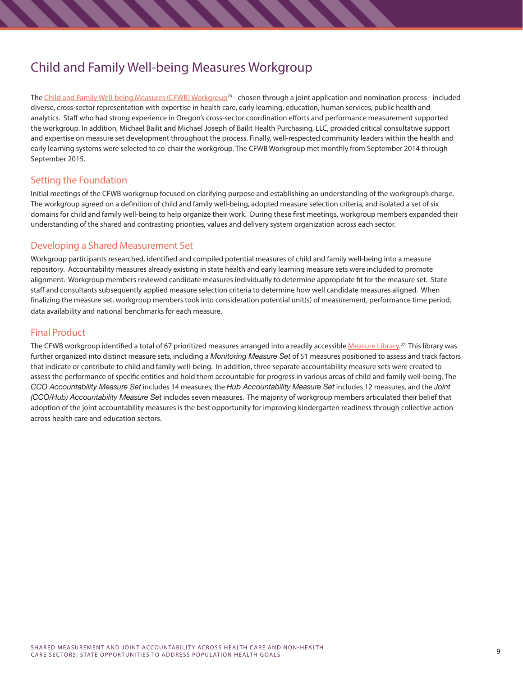# Child and Family Well-being Measures Workgroup

The [Child and Family Well-being Measures \(CFWB\) Workgroup](http://www.oregon.gov/oha/analytics/Pages/Child-Family-Well-Being-Measures.aspx)<sup>26</sup> - chosen through a joint application and nomination process - included diverse, cross-sector representation with expertise in health care, early learning, education, human services, public health and analytics. Staff who had strong experience in Oregon's cross-sector coordination efforts and performance measurement supported the workgroup. In addition, Michael Bailit and Michael Joseph of Bailit Health Purchasing, LLC, provided critical consultative support and expertise on measure set development throughout the process. Finally, well-respected community leaders within the health and early learning systems were selected to co-chair the workgroup. The CFWB Workgroup met monthly from September 2014 through September 2015.

### Setting the Foundation

Initial meetings of the CFWB workgroup focused on clarifying purpose and establishing an understanding of the workgroup's charge. The workgroup agreed on a definition of child and family well-being, adopted measure selection criteria, and isolated a set of six domains for child and family well-being to help organize their work. During these first meetings, workgroup members expanded their understanding of the shared and contrasting priorities, values and delivery system organization across each sector.

### Developing a Shared Measurement Set

Workgroup participants researched, identified and compiled potential measures of child and family well-being into a measure repository. Accountability measures already existing in state health and early learning measure sets were included to promote alignment. Workgroup members reviewed candidate measures individually to determine appropriate fit for the measure set. State staff and consultants subsequently applied measure selection criteria to determine how well candidate measures aligned. When finalizing the measure set, workgroup members took into consideration potential unit(s) of measurement, performance time period, data availability and national benchmarks for each measure.

### Final Product

The CFWB workgroup identified a total of 67 prioritized measures arranged into a readily accessible <u>[Measure Library](http://www.oregon.gov/oha/Documents/Child-Family%20Well-Being%20Measures.pdf).</u>27 This library was further organized into distinct measure sets, including a *Monitoring Measure Set* of 51 measures positioned to assess and track factors that indicate or contribute to child and family well-being. In addition, three separate accountability measure sets were created to assess the performance of specific entities and hold them accountable for progress in various areas of child and family well-being. The *CCO Accountability Measure Set* includes 14 measures, the *Hub Accountability Measure Set* includes 12 measures, and the *Joint (CCO/Hub) Accountability Measure Set* includes seven measures. The majority of workgroup members articulated their belief that adoption of the joint accountability measures is the best opportunity for improving kindergarten readiness through collective action across health care and education sectors.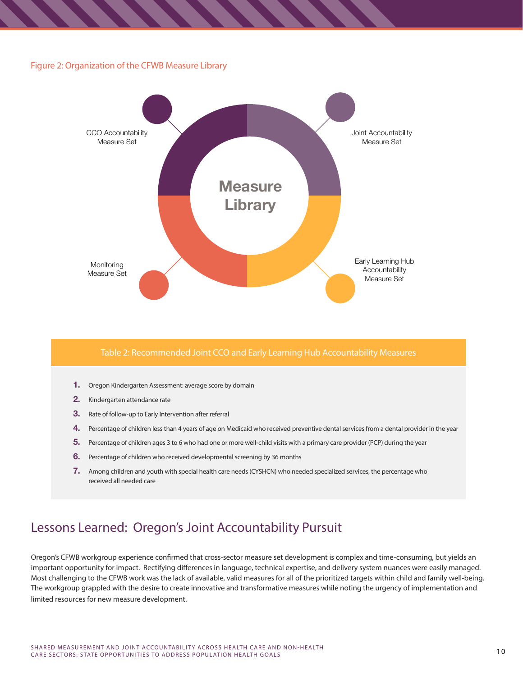#### Figure 2: Organization of the CFWB Measure Library



#### Table 2: Recommended Joint CCO and Early Learning Hub Accountability Measures

- **1.** Oregon Kindergarten Assessment: average score by domain
- **2.** Kindergarten attendance rate
- **3.** Rate of follow-up to Early Intervention after referral
- **4.** Percentage of children less than 4 years of age on Medicaid who received preventive dental services from a dental provider in the year
- **5.** Percentage of children ages 3 to 6 who had one or more well-child visits with a primary care provider (PCP) during the year
- **6.** Percentage of children who received developmental screening by 36 months
- **7.** Among children and youth with special health care needs (CYSHCN) who needed specialized services, the percentage who received all needed care

# Lessons Learned: Oregon's Joint Accountability Pursuit

Oregon's CFWB workgroup experience confirmed that cross-sector measure set development is complex and time-consuming, but yields an important opportunity for impact. Rectifying differences in language, technical expertise, and delivery system nuances were easily managed. Most challenging to the CFWB work was the lack of available, valid measures for all of the prioritized targets within child and family well-being. The workgroup grappled with the desire to create innovative and transformative measures while noting the urgency of implementation and limited resources for new measure development.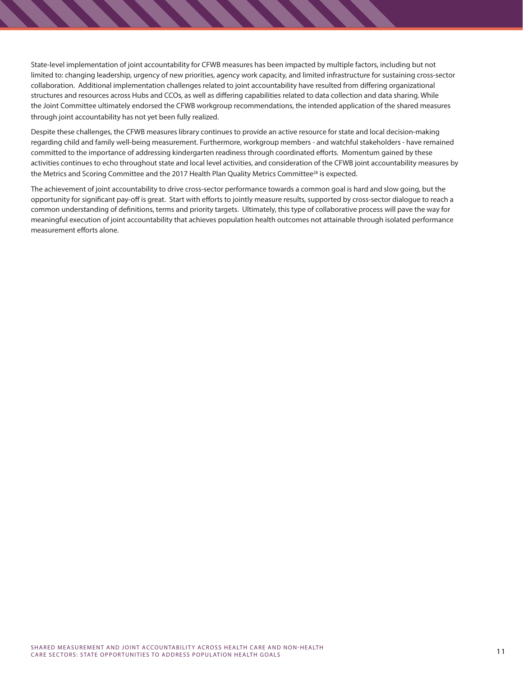State-level implementation of joint accountability for CFWB measures has been impacted by multiple factors, including but not limited to: changing leadership, urgency of new priorities, agency work capacity, and limited infrastructure for sustaining cross-sector collaboration. Additional implementation challenges related to joint accountability have resulted from differing organizational structures and resources across Hubs and CCOs, as well as differing capabilities related to data collection and data sharing. While the Joint Committee ultimately endorsed the CFWB workgroup recommendations, the intended application of the shared measures through joint accountability has not yet been fully realized.

Despite these challenges, the CFWB measures library continues to provide an active resource for state and local decision-making regarding child and family well-being measurement. Furthermore, workgroup members - and watchful stakeholders - have remained committed to the importance of addressing kindergarten readiness through coordinated efforts. Momentum gained by these activities continues to echo throughout state and local level activities, and consideration of the CFWB joint accountability measures by the Metrics and Scoring Committee and the 2017 Health Plan Quality Metrics Committee<sup>28</sup> is expected.

The achievement of joint accountability to drive cross-sector performance towards a common goal is hard and slow going, but the opportunity for significant pay-off is great. Start with efforts to jointly measure results, supported by cross-sector dialogue to reach a common understanding of definitions, terms and priority targets. Ultimately, this type of collaborative process will pave the way for meaningful execution of joint accountability that achieves population health outcomes not attainable through isolated performance measurement efforts alone.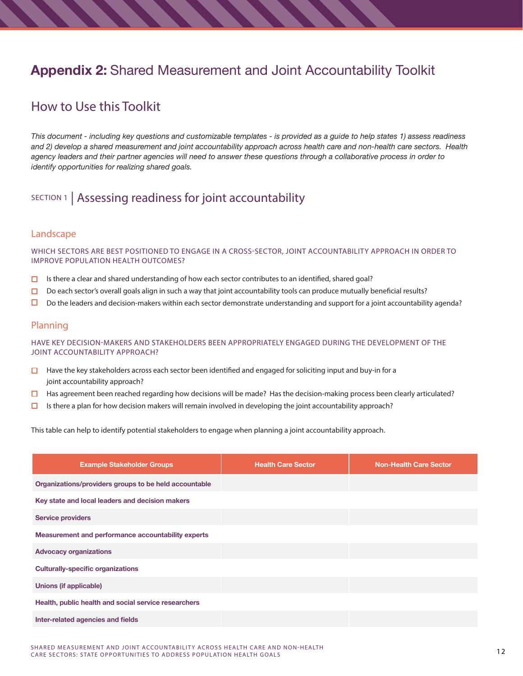# **Appendix 2:** Shared Measurement and Joint Accountability Toolkit

# How to Use this Toolkit

*This document - including key questions and customizable templates - is provided as a guide to help states 1) assess readiness and 2) develop a shared measurement and joint accountability approach across health care and non-health care sectors. Health agency leaders and their partner agencies will need to answer these questions through a collaborative process in order to identify opportunities for realizing shared goals.*

# SECTION 1 | Assessing readiness for joint accountability

### Landscape

WHICH SECTORS ARE BEST POSITIONED TO ENGAGE IN A CROSS-SECTOR, JOINT ACCOUNTABILITY APPROACH IN ORDER TO IMPROVE POPULATION HEALTH OUTCOMES?

- **IS** Is there a clear and shared understanding of how each sector contributes to an identified, shared goal?<br>**IS** Do each sector's overall goals align in such a way that ioint accountability tools can produce mutually k
- $\Box$  Do each sector's overall goals align in such a way that joint accountability tools can produce mutually beneficial results?<br> $\Box$  Do the leaders and decision-makers within each sector demonstrate understanding and sup
- › Do the leaders and decision-makers within each sector demonstrate understanding and support for a joint accountability agenda?

### Planning

HAVE KEY DECISION-MAKERS AND STAKEHOLDERS BEEN APPROPRIATELY ENGAGED DURING THE DEVELOPMENT OF THE JOINT ACCOUNTABILITY APPROACH?

- $\Box$  Have the key stakeholders across each sector been identified and engaged for soliciting input and buy-in for a joint accountability approach?
- □ Has agreement been reached regarding how decisions will be made? Has the decision-making process been clearly articulated?<br>□ Is there a plan for how decision makers will remain involved in developing the ioint accounta
- Is there a plan for how decision makers will remain involved in developing the joint accountability approach?

This table can help to identify potential stakeholders to engage when planning a joint accountability approach.

| <b>Example Stakeholder Groups</b>                     | <b>Health Care Sector</b> | <b>Non-Health Care Sector</b> |
|-------------------------------------------------------|---------------------------|-------------------------------|
| Organizations/providers groups to be held accountable |                           |                               |
| Key state and local leaders and decision makers       |                           |                               |
| <b>Service providers</b>                              |                           |                               |
| Measurement and performance accountability experts    |                           |                               |
| <b>Advocacy organizations</b>                         |                           |                               |
| <b>Culturally-specific organizations</b>              |                           |                               |
| Unions (if applicable)                                |                           |                               |
| Health, public health and social service researchers  |                           |                               |
| Inter-related agencies and fields                     |                           |                               |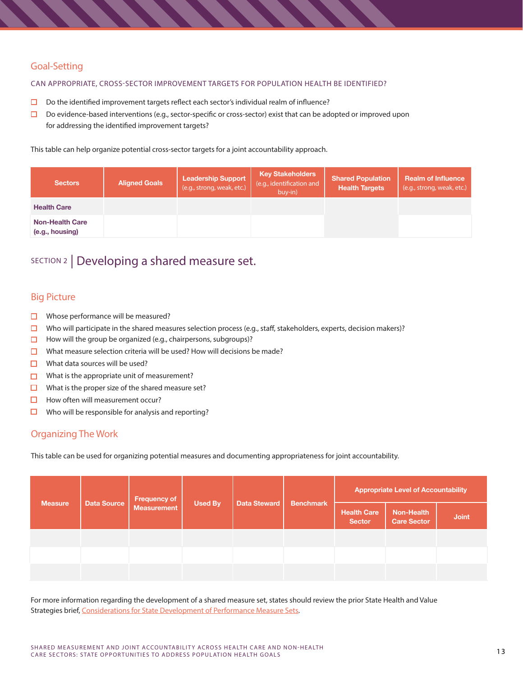## Goal-Setting

#### CAN APPROPRIATE, CROSS-SECTOR IMPROVEMENT TARGETS FOR POPULATION HEALTH BE IDENTIFIED?

- $\Box$  Do the identified improvement targets reflect each sector's individual realm of influence?<br> $\Box$  Do evidence-based interventions (e.g., sector-specific or cross-sector) exist that can be ad
- Do evidence-based interventions (e.g., sector-specific or cross-sector) exist that can be adopted or improved upon for addressing the identified improvement targets?

This table can help organize potential cross-sector targets for a joint accountability approach.

| <b>Sectors</b>                            | <b>Aligned Goals</b> | <b>Leadership Support</b><br>(e.g., strong, weak, etc.) | <b>Key Stakeholders</b><br>(e.g., identification and<br>buy-in) | <b>Shared Population</b><br><b>Health Targets</b> | <b>Realm of Influence</b><br>(e.g., strong, weak, etc.) |
|-------------------------------------------|----------------------|---------------------------------------------------------|-----------------------------------------------------------------|---------------------------------------------------|---------------------------------------------------------|
| <b>Health Care</b>                        |                      |                                                         |                                                                 |                                                   |                                                         |
| <b>Non-Health Care</b><br>(e.g., housing) |                      |                                                         |                                                                 |                                                   |                                                         |

## SECTION 2 | Developing a shared measure set.

### Big Picture

- $\Box$  Whose performance will be measured?<br> $\Box$  Who will participate in the shared measured?
- □ Who will participate in the shared measures selection process (e.g., staff, stakeholders, experts, decision makers)?<br>□ How will the group be organized (e.g., chairpersons, subgroups)?
- How will the group be organized (e.g., chairpersons, subgroups)?
- $\Box$  What measure selection criteria will be used? How will decisions be made?<br> $\Box$  What data sources will be used?
- $\Box$  What data sources will be used?<br> $\Box$  What is the appropriate unit of r
- $\square$  What is the appropriate unit of measurement?<br> $\square$  What is the proper size of the shared measure
- $\Box$  What is the proper size of the shared measure set?<br> $\Box$  How often will measurement occur?
- $\Box$  How often will measurement occur?<br> $\Box$  Who will be responsible for analysis
- Who will be responsible for analysis and reporting?

### Organizing The Work

This table can be used for organizing potential measures and documenting appropriateness for joint accountability.

| <b>Measure</b> | <b>Data Source</b> | <b>Frequency of</b> |                |              | <b>Benchmark</b><br><b>Health Care</b><br><b>Sector</b> | <b>Appropriate Level of Accountability</b> |              |  |
|----------------|--------------------|---------------------|----------------|--------------|---------------------------------------------------------|--------------------------------------------|--------------|--|
|                |                    | <b>Measurement</b>  | <b>Used By</b> | Data Steward |                                                         | Non-Health<br><b>Care Sector</b>           | <b>Joint</b> |  |
|                |                    |                     |                |              |                                                         |                                            |              |  |
|                |                    |                     |                |              |                                                         |                                            |              |  |
|                |                    |                     |                |              |                                                         |                                            |              |  |

For more information regarding the development of a shared measure set, states should review the prior State Health and Value Strategies brief, [Considerations for State Development of Performance Measure Sets](http://www.rwjf.org/content/dam/farm/reports/issue_briefs/2014/rwjf415738).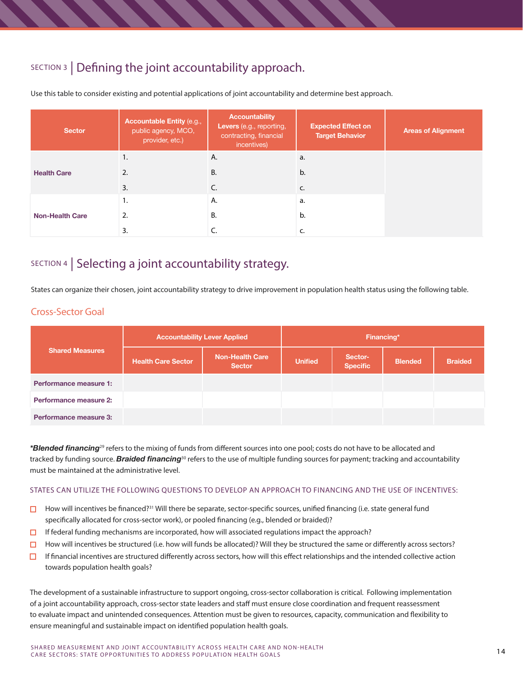# SECTION 3 | Defining the joint accountability approach.

| <b>Sector</b>          | <b>Accountable Entity (e.g.,</b><br>public agency, MCO,<br>provider, etc.) | <b>Accountability</b><br>Levers (e.g., reporting,<br>contracting, financial<br>incentives) | <b>Expected Effect on</b><br><b>Target Behavior</b> | <b>Areas of Alignment</b> |
|------------------------|----------------------------------------------------------------------------|--------------------------------------------------------------------------------------------|-----------------------------------------------------|---------------------------|
|                        | 1.                                                                         | Α.                                                                                         | a.                                                  |                           |
| <b>Health Care</b>     | 2.                                                                         | <b>B.</b>                                                                                  | b.                                                  |                           |
|                        | 3.                                                                         | C.                                                                                         | C.                                                  |                           |
|                        | ι.                                                                         | А.                                                                                         | a.                                                  |                           |
| <b>Non-Health Care</b> | 2.                                                                         | В.                                                                                         | b.                                                  |                           |
|                        | 3.                                                                         |                                                                                            |                                                     |                           |

Use this table to consider existing and potential applications of joint accountability and determine best approach.

# SECTION 4 | Selecting a joint accountability strategy.

States can organize their chosen, joint accountability strategy to drive improvement in population health status using the following table.

### Cross-Sector Goal

|                        | <b>Accountability Lever Applied</b> | Financing*                              |                |                            |                |                |
|------------------------|-------------------------------------|-----------------------------------------|----------------|----------------------------|----------------|----------------|
| <b>Shared Measures</b> | <b>Health Care Sector</b>           | <b>Non-Health Care</b><br><b>Sector</b> | <b>Unified</b> | Sector-<br><b>Specific</b> | <b>Blended</b> | <b>Braided</b> |
| Performance measure 1: |                                     |                                         |                |                            |                |                |
| Performance measure 2: |                                     |                                         |                |                            |                |                |
| Performance measure 3: |                                     |                                         |                |                            |                |                |

*\*Blended financing*29 refers to the mixing of funds from different sources into one pool; costs do not have to be allocated and tracked by funding source. *Braided financing*30 refers to the use of multiple funding sources for payment; tracking and accountability must be maintained at the administrative level.

#### STATES CAN UTILIZE THE FOLLOWING QUESTIONS TO DEVELOP AN APPROACH TO FINANCING AND THE USE OF INCENTIVES:

- $\Box$  How will incentives be financed?<sup>31</sup> Will there be separate, sector-specific sources, unified financing (i.e. state general fund specifically allocated for cross-sector work), or pooled financing (e.g., blended or braided)?
- $\Box$  If federal funding mechanisms are incorporated, how will associated regulations impact the approach?
- $\Box$  How will incentives be structured (i.e. how will funds be allocated)? Will they be structured the same or differently across sectors?<br> $\Box$  If financial incentives are structured differently across sectors, how will t
- If financial incentives are structured differently across sectors, how will this effect relationships and the intended collective action towards population health goals?

The development of a sustainable infrastructure to support ongoing, cross-sector collaboration is critical. Following implementation of a joint accountability approach, cross-sector state leaders and staff must ensure close coordination and frequent reassessment to evaluate impact and unintended consequences. Attention must be given to resources, capacity, communication and flexibility to ensure meaningful and sustainable impact on identified population health goals.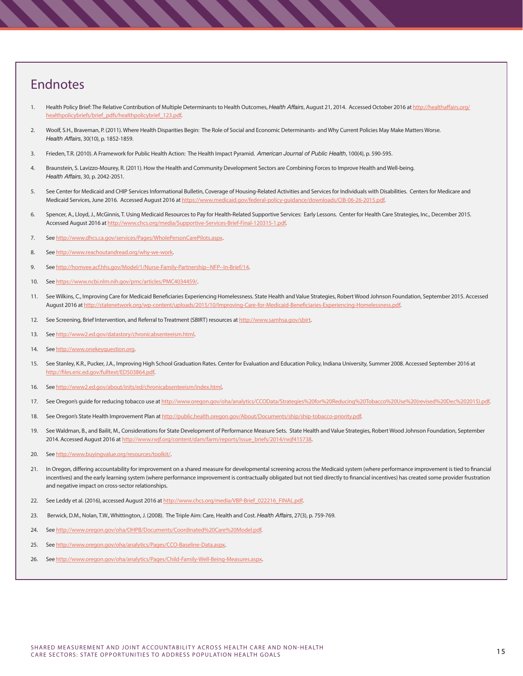# Endnotes

- 1. Health Policy Brief: The Relative Contribution of Multiple Determinants to Health Outcomes, *Health Affairs*, August 21, 2014. Accessed October 2016 at [http://healthaffairs.org/](http://healthaffairs.org/healthpolicybriefs/brief_pdfs/healthpolicybrief_123.pdf) althpolicybriefs/brief\_pdfs/healthpolicybrief\_123.pdf.
- 2. Woolf, S.H., Braveman, P. (2011). Where Health Disparities Begin: The Role of Social and Economic Determinants- and Why Current Policies May Make Matters Worse. *Health Affairs*, 30(10), p. 1852-1859.
- 3. Frieden, T.R. (2010). A Framework for Public Health Action: The Health Impact Pyramid. *American Journal of Public Health*, 100(4), p. 590-595.
- 4. Braunstein, S. Lavizzo-Mourey, R. (2011). How the Health and Community Development Sectors are Combining Forces to Improve Health and Well-being. *Health Affairs*, 30, p. 2042-2051.
- 5. See Center for Medicaid and CHIP Services Informational Bulletin, Coverage of Housing-Related Activities and Services for Individuals with Disabilities. Centers for Medicare and Medicaid Services, June 2016. Accessed August 2016 at<https://www.medicaid.gov/federal-policy-guidance/downloads/CIB-06-26-2015.pdf>.
- 6. Spencer, A., Lloyd, J., McGinnis, T. Using Medicaid Resources to Pay for Health-Related Supportive Services: Early Lessons. Center for Health Care Strategies, Inc., December 2015. Accessed August 2016 at [http://www.chcs.org/media/Supportive-Services-Brief-Final-120315-1.pdf.](http://www.chcs.org/media/Supportive-Services-Brief-Final-120315-1.pdf)
- 7. See [http://www.dhcs.ca.gov/services/Pages/WholePersonCarePilots.aspx.](http://www.dhcs.ca.gov/services/Pages/WholePersonCarePilots.aspx)
- 8. See <http://www.reachoutandread.org/why-we-work>.
- 9. See <http://homvee.acf.hhs.gov/Model/1/Nurse-Family-Partnership--NFP--In-Brief/14>.
- 10. See [https://www.ncbi.nlm.nih.gov/pmc/articles/PMC4034459/.](https://www.ncbi.nlm.nih.gov/pmc/articles/PMC4034459/)
- 11. See Wilkins, C., Improving Care for Medicaid Beneficiaries Experiencing Homelessness. State Health and Value Strategies, Robert Wood Johnson Foundation, September 2015. Accessed August 2016 at [http://statenetwork.org/wp-content/uploads/2015/10/Improving-Care-for-Medicaid-Beneficiaries-Experiencing-Homelessness.pdf.](http://statenetwork.org/wp-content/uploads/2015/10/Improving-Care-for-Medicaid-Beneficiaries-Experie)
- 12. See Screening, Brief Intervention, and Referral to Treatment (SBIRT) resources at [http://www.samhsa.gov/sbirt.](http://www.samhsa.gov/sbirt)
- 13. See [http://www2.ed.gov/datastory/chronicabsenteeism.html.](http://www2.ed.gov/datastory/chronicabsenteeism.html)
- 14. See [http://www.onekeyquestion.org.](http://www.onekeyquestion.org)
- 15. See Stanley, K.R., Pucker, J.A., Improving High School Graduation Rates. Center for Evaluation and Education Policy, Indiana University, Summer 2008. Accessed September 2016 at [http://files.eric.ed.gov/fulltext/ED503864.pdf.](http://files.eric.ed.gov/fulltext/ED503864.pdf)
- 16. See [http://www2.ed.gov/about/inits/ed/chronicabsenteeism/index.html.](http://www2.ed.gov/about/inits/ed/chronicabsenteeism/index.html)
- 17. See Oregon's guide for reducing tobacco use at [http://www.oregon.gov/oha/analytics/CCOData/Strategies%20for%20Reducing%20Tobacco%20Use%20\(revised%20Dec%202015\).pdf](http://www.oregon.gov/oha/analytics/CCOData/Strategies%20for%20Reducing%20Tobacco%20Use%20(revised%2).
- 18. See Oregon's State Health Improvement Plan at [http://public.health.oregon.gov/About/Documents/ship/ship-tobacco-priority.pdf.](http://public.health.oregon.gov/About/Documents/ship/ship-tobacco-priority.pdf)
- 19. See Waldman, B., and Bailit, M., Considerations for State Development of Performance Measure Sets. State Health and Value Strategies, Robert Wood Johnson Foundation, September 2014. Accessed August 2016 at [http://www.rwjf.org/content/dam/farm/reports/issue\\_briefs/2014/rwjf415738.](http://www.rwjf.org/content/dam/farm/reports/issue_briefs/2014/rwjf415738)
- 20. See [http://www.buyingvalue.org/resources/toolkit/.](http://www.buyingvalue.org/resources/toolkit/)
- 21. In Oregon, differing accountability for improvement on a shared measure for developmental screening across the Medicaid system (where performance improvement is tied to financial incentives) and the early learning system (where performance improvement is contractually obligated but not tied directly to financial incentives) has created some provider frustration and negative impact on cross-sector relationships.
- 22. See Leddy et al. (2016), accessed August 2016 at [http://www.chcs.org/media/VBP-Brief\\_022216\\_FINAL.pdf](http://www.chcs.org/media/VBP-Brief_022216_FINAL.pdf).
- 23. Berwick, D.M., Nolan, T.W., Whittington, J. (2008). The Triple Aim: Care, Health and Cost. *Health Affairs*, 27(3), p. 759-769.
- 24. See <http://www.oregon.gov/oha/OHPB/Documents/Coordinated%20Care%20Model.pdf>.
- 25. See [http://www.oregon.gov/oha/analytics/Pages/CCO-Baseline-Data.aspx.](http://www.oregon.gov/oha/analytics/Pages/CCO-Baseline-Data.aspx)
- 26. See [http://www.oregon.gov/oha/analytics/Pages/Child-Family-Well-Being-Measures.aspx.](http://www.oregon.gov/oha/analytics/Pages/Child-Family-Well-Being-Measures.aspx)